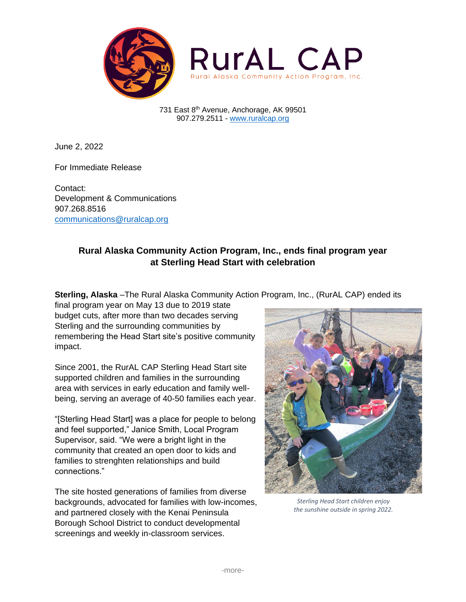

731 East 8th Avenue, Anchorage, AK 99501 907.279.2511 - [www.ruralcap.org](http://www.ruralcap.org/)

June 2, 2022

For Immediate Release

Contact: Development & Communications 907.268.8516 [communications@ruralcap.org](mailto:communications@ruralcap.org)

## **Rural Alaska Community Action Program, Inc., ends final program year at Sterling Head Start with celebration**

**Sterling, Alaska** –The Rural Alaska Community Action Program, Inc., (RurAL CAP) ended its

final program year on May 13 due to 2019 state budget cuts, after more than two decades serving Sterling and the surrounding communities by remembering the Head Start site's positive community impact.

Since 2001, the RurAL CAP Sterling Head Start site supported children and families in the surrounding area with services in early education and family wellbeing, serving an average of 40-50 families each year.

"[Sterling Head Start] was a place for people to belong and feel supported," Janice Smith, Local Program Supervisor, said. "We were a bright light in the community that created an open door to kids and families to strenghten relationships and build connections."

The site hosted generations of families from diverse backgrounds, advocated for families with low-incomes, and partnered closely with the Kenai Peninsula Borough School District to conduct developmental screenings and weekly in-classroom services.



*Sterling Head Start children enjoy the sunshine outside in spring 2022.*